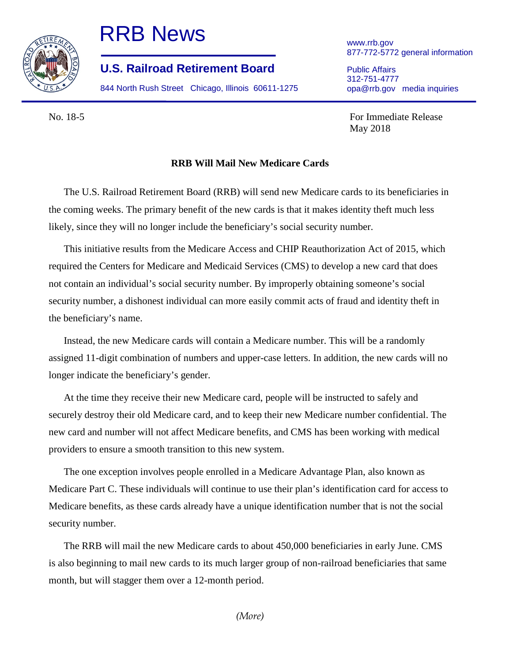

## RRB News

**U.S. Railroad Retirement Board**

844 North Rush Street Chicago, Illinois 60611-1275

www.rrb.gov 877-772-5772 general information

Public Affairs 312-751-4777 opa@rrb.gov media inquiries

No. 18-5 For Immediate Release May 2018

## **RRB Will Mail New Medicare Cards**

The U.S. Railroad Retirement Board (RRB) will send new Medicare cards to its beneficiaries in the coming weeks. The primary benefit of the new cards is that it makes identity theft much less likely, since they will no longer include the beneficiary's social security number.

This initiative results from the Medicare Access and CHIP Reauthorization Act of 2015, which required the Centers for Medicare and Medicaid Services (CMS) to develop a new card that does not contain an individual's social security number. By improperly obtaining someone's social security number, a dishonest individual can more easily commit acts of fraud and identity theft in the beneficiary's name.

Instead, the new Medicare cards will contain a Medicare number. This will be a randomly assigned 11-digit combination of numbers and upper-case letters. In addition, the new cards will no longer indicate the beneficiary's gender.

At the time they receive their new Medicare card, people will be instructed to safely and securely destroy their old Medicare card, and to keep their new Medicare number confidential. The new card and number will not affect Medicare benefits, and CMS has been working with medical providers to ensure a smooth transition to this new system.

The one exception involves people enrolled in a Medicare Advantage Plan, also known as Medicare Part C. These individuals will continue to use their plan's identification card for access to Medicare benefits, as these cards already have a unique identification number that is not the social security number.

The RRB will mail the new Medicare cards to about 450,000 beneficiaries in early June. CMS is also beginning to mail new cards to its much larger group of non-railroad beneficiaries that same month, but will stagger them over a 12-month period.

*(More)*